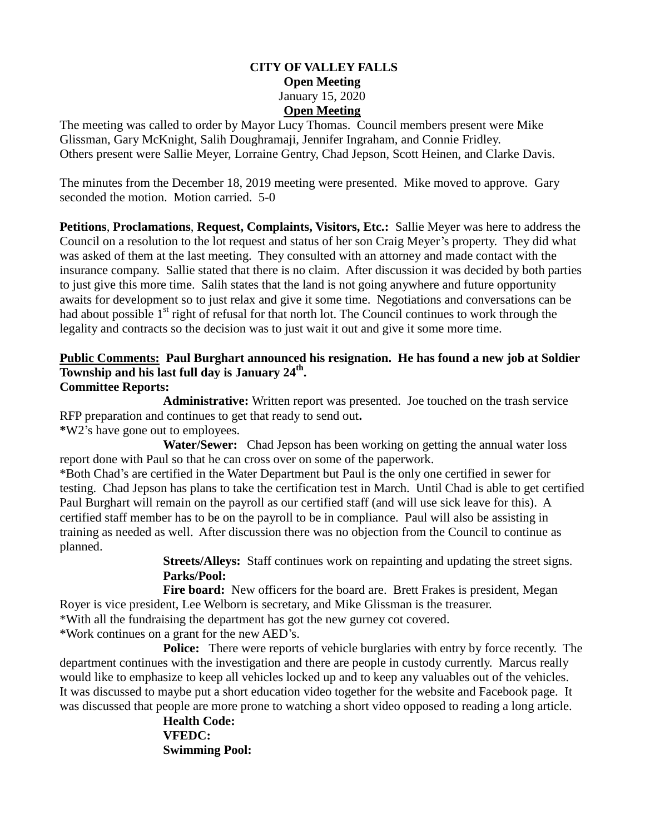#### **CITY OF VALLEY FALLS Open Meeting** January 15, 2020 **Open Meeting**

The meeting was called to order by Mayor Lucy Thomas. Council members present were Mike Glissman, Gary McKnight, Salih Doughramaji, Jennifer Ingraham, and Connie Fridley. Others present were Sallie Meyer, Lorraine Gentry, Chad Jepson, Scott Heinen, and Clarke Davis.

The minutes from the December 18, 2019 meeting were presented. Mike moved to approve. Gary seconded the motion. Motion carried. 5-0

**Petitions**, **Proclamations**, **Request, Complaints, Visitors, Etc.:** Sallie Meyer was here to address the Council on a resolution to the lot request and status of her son Craig Meyer's property. They did what was asked of them at the last meeting. They consulted with an attorney and made contact with the insurance company. Sallie stated that there is no claim. After discussion it was decided by both parties to just give this more time. Salih states that the land is not going anywhere and future opportunity awaits for development so to just relax and give it some time. Negotiations and conversations can be had about possible 1<sup>st</sup> right of refusal for that north lot. The Council continues to work through the legality and contracts so the decision was to just wait it out and give it some more time.

# **Public Comments: Paul Burghart announced his resignation. He has found a new job at Soldier Township and his last full day is January 24th .**

### **Committee Reports:**

**Administrative:** Written report was presented. Joe touched on the trash service RFP preparation and continues to get that ready to send out**.** 

**\***W2's have gone out to employees.

 **Water/Sewer:** Chad Jepson has been working on getting the annual water loss report done with Paul so that he can cross over on some of the paperwork.

\*Both Chad's are certified in the Water Department but Paul is the only one certified in sewer for testing. Chad Jepson has plans to take the certification test in March. Until Chad is able to get certified Paul Burghart will remain on the payroll as our certified staff (and will use sick leave for this). A certified staff member has to be on the payroll to be in compliance. Paul will also be assisting in training as needed as well. After discussion there was no objection from the Council to continue as planned.

**Streets/Alleys:** Staff continues work on repainting and updating the street signs. **Parks/Pool:**

Fire board: New officers for the board are. Brett Frakes is president, Megan Royer is vice president, Lee Welborn is secretary, and Mike Glissman is the treasurer. \*With all the fundraising the department has got the new gurney cot covered.

\*Work continues on a grant for the new AED's.

**Police:** There were reports of vehicle burglaries with entry by force recently. The department continues with the investigation and there are people in custody currently. Marcus really would like to emphasize to keep all vehicles locked up and to keep any valuables out of the vehicles. It was discussed to maybe put a short education video together for the website and Facebook page. It was discussed that people are more prone to watching a short video opposed to reading a long article.

> **Health Code: VFEDC: Swimming Pool:**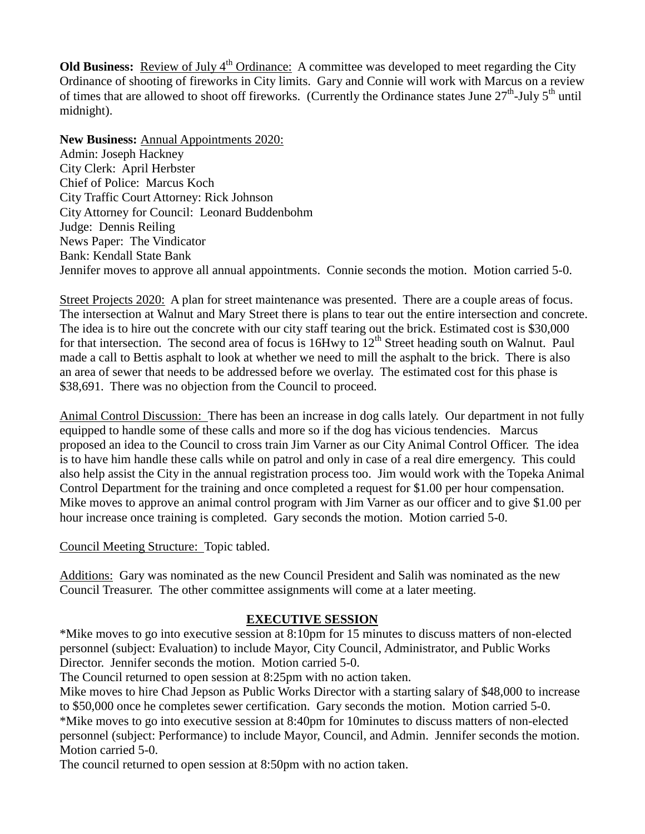**Old Business:** Review of July 4<sup>th</sup> Ordinance: A committee was developed to meet regarding the City Ordinance of shooting of fireworks in City limits. Gary and Connie will work with Marcus on a review of times that are allowed to shoot off fireworks. (Currently the Ordinance states June  $27<sup>th</sup>$ -July  $5<sup>th</sup>$  until midnight).

**New Business:** Annual Appointments 2020: Admin: Joseph Hackney City Clerk: April Herbster Chief of Police: Marcus Koch City Traffic Court Attorney: Rick Johnson City Attorney for Council: Leonard Buddenbohm Judge: Dennis Reiling News Paper: The Vindicator Bank: Kendall State Bank Jennifer moves to approve all annual appointments. Connie seconds the motion. Motion carried 5-0.

Street Projects 2020: A plan for street maintenance was presented. There are a couple areas of focus. The intersection at Walnut and Mary Street there is plans to tear out the entire intersection and concrete. The idea is to hire out the concrete with our city staff tearing out the brick. Estimated cost is \$30,000 for that intersection. The second area of focus is  $16Hwy$  to  $12<sup>th</sup>$  Street heading south on Walnut. Paul made a call to Bettis asphalt to look at whether we need to mill the asphalt to the brick. There is also an area of sewer that needs to be addressed before we overlay. The estimated cost for this phase is \$38,691. There was no objection from the Council to proceed.

Animal Control Discussion: There has been an increase in dog calls lately. Our department in not fully equipped to handle some of these calls and more so if the dog has vicious tendencies. Marcus proposed an idea to the Council to cross train Jim Varner as our City Animal Control Officer. The idea is to have him handle these calls while on patrol and only in case of a real dire emergency. This could also help assist the City in the annual registration process too. Jim would work with the Topeka Animal Control Department for the training and once completed a request for \$1.00 per hour compensation. Mike moves to approve an animal control program with Jim Varner as our officer and to give \$1.00 per hour increase once training is completed. Gary seconds the motion. Motion carried 5-0.

Council Meeting Structure: Topic tabled.

Additions: Gary was nominated as the new Council President and Salih was nominated as the new Council Treasurer. The other committee assignments will come at a later meeting.

### **EXECUTIVE SESSION**

\*Mike moves to go into executive session at 8:10pm for 15 minutes to discuss matters of non-elected personnel (subject: Evaluation) to include Mayor, City Council, Administrator, and Public Works Director. Jennifer seconds the motion. Motion carried 5-0.

The Council returned to open session at 8:25pm with no action taken.

Mike moves to hire Chad Jepson as Public Works Director with a starting salary of \$48,000 to increase to \$50,000 once he completes sewer certification. Gary seconds the motion. Motion carried 5-0. \*Mike moves to go into executive session at 8:40pm for 10minutes to discuss matters of non-elected personnel (subject: Performance) to include Mayor, Council, and Admin. Jennifer seconds the motion. Motion carried 5-0.

The council returned to open session at 8:50pm with no action taken.